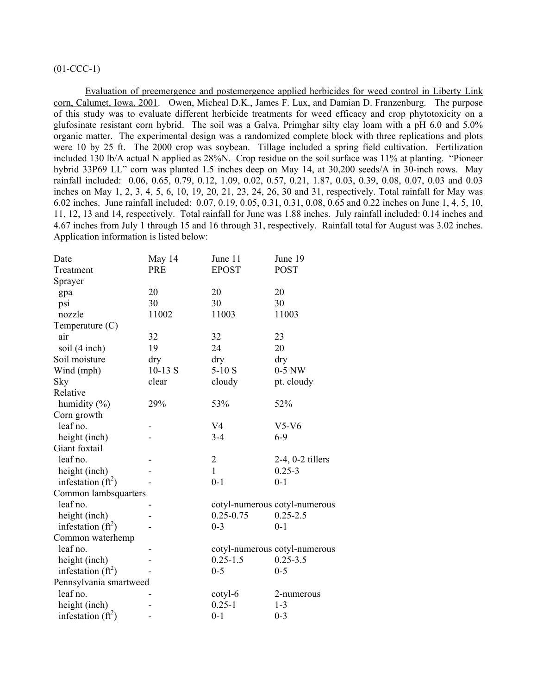# $(01$ -CCC-1)

Evaluation of preemergence and postemergence applied herbicides for weed control in Liberty Link corn, Calumet, Iowa, 2001. Owen, Micheal D.K., James F. Lux, and Damian D. Franzenburg. The purpose of this study was to evaluate different herbicide treatments for weed efficacy and crop phytotoxicity on a glufosinate resistant corn hybrid. The soil was a Galva, Primghar silty clay loam with a pH 6.0 and 5.0% organic matter. The experimental design was a randomized complete block with three replications and plots were 10 by 25 ft. The 2000 crop was soybean. Tillage included a spring field cultivation. Fertilization included 130 lb/A actual N applied as 28%N. Crop residue on the soil surface was 11% at planting. "Pioneer hybrid 33P69 LL" corn was planted 1.5 inches deep on May 14, at 30,200 seeds/A in 30-inch rows. May rainfall included: 0.06, 0.65, 0.79, 0.12, 1.09, 0.02, 0.57, 0.21, 1.87, 0.03, 0.39, 0.08, 0.07, 0.03 and 0.03 inches on May 1, 2, 3, 4, 5, 6, 10, 19, 20, 21, 23, 24, 26, 30 and 31, respectively. Total rainfall for May was 6.02 inches. June rainfall included: 0.07, 0.19, 0.05, 0.31, 0.31, 0.08, 0.65 and 0.22 inches on June 1, 4, 5, 10, 11, 12, 13 and 14, respectively. Total rainfall for June was 1.88 inches. July rainfall included: 0.14 inches and 4.67 inches from July 1 through 15 and 16 through 31, respectively. Rainfall total for August was 3.02 inches. Application information is listed below:

| Date                   | May 14    | June 11        | June 19                       |
|------------------------|-----------|----------------|-------------------------------|
| Treatment              | PRE       | <b>EPOST</b>   | <b>POST</b>                   |
| Sprayer                |           |                |                               |
| gpa                    | 20        | 20             | 20                            |
| psi                    | 30        | 30             | 30                            |
| nozzle                 | 11002     | 11003          | 11003                         |
| Temperature $(C)$      |           |                |                               |
| air                    | 32        | 32             | 23                            |
| soil (4 inch)          | 19        | 24             | 20                            |
| Soil moisture          | dry       | dry            | dry                           |
| Wind (mph)             | $10-13$ S | $5-10S$        | $0-5$ NW                      |
| Sky                    | clear     | cloudy         | pt. cloudy                    |
| Relative               |           |                |                               |
| humidity $(\% )$       | 29%       | 53%            | 52%                           |
| Corn growth            |           |                |                               |
| leaf no.               |           | V <sub>4</sub> | $V5-V6$                       |
| height (inch)          |           | $3 - 4$        | $6 - 9$                       |
| Giant foxtail          |           |                |                               |
| leaf no.               |           | $\overline{c}$ | $2-4$ , $0-2$ tillers         |
| height (inch)          |           | $\mathbf{1}$   | $0.25 - 3$                    |
| infestation $(ft^2)$   |           | $0 - 1$        | $0 - 1$                       |
| Common lambsquarters   |           |                |                               |
| leaf no.               |           |                | cotyl-numerous cotyl-numerous |
| height (inch)          |           | $0.25 - 0.75$  | $0.25 - 2.5$                  |
| infestation $(ft^2)$   |           | $0 - 3$        | $0 - 1$                       |
| Common waterhemp       |           |                |                               |
| leaf no.               |           |                | cotyl-numerous cotyl-numerous |
| height (inch)          |           | $0.25 - 1.5$   | $0.25 - 3.5$                  |
| infestation $(ft^2)$   |           | $0 - 5$        | $0 - 5$                       |
| Pennsylvania smartweed |           |                |                               |
| leaf no.               |           | cotyl-6        | 2-numerous                    |
| height (inch)          |           | $0.25 - 1$     | $1 - 3$                       |
| infestation $(ft^2)$   |           | $0 - 1$        | $0 - 3$                       |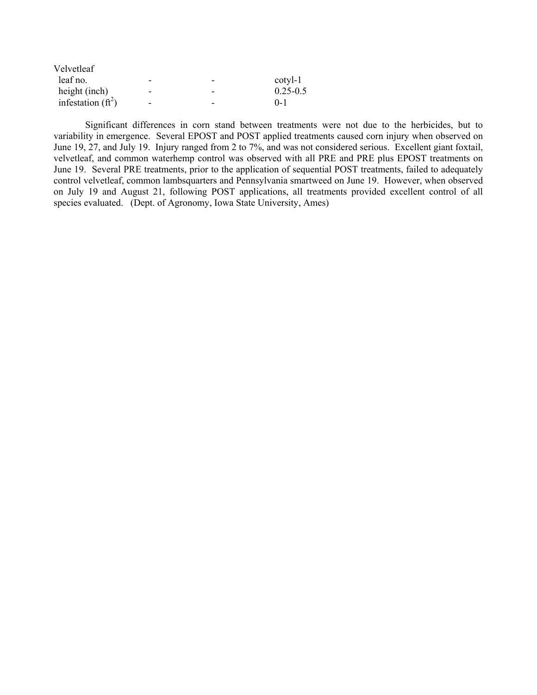| Velvetleaf           |   |                          |              |
|----------------------|---|--------------------------|--------------|
| leaf no.             | - | -                        | $cotyl-1$    |
| height (inch)        | - | $\overline{a}$           | $0.25 - 0.5$ |
| infestation $(ft^2)$ | - | $\overline{\phantom{0}}$ | $() - 1$     |

 Significant differences in corn stand between treatments were not due to the herbicides, but to variability in emergence. Several EPOST and POST applied treatments caused corn injury when observed on June 19, 27, and July 19. Injury ranged from 2 to 7%, and was not considered serious. Excellent giant foxtail, velvetleaf, and common waterhemp control was observed with all PRE and PRE plus EPOST treatments on June 19. Several PRE treatments, prior to the application of sequential POST treatments, failed to adequately control velvetleaf, common lambsquarters and Pennsylvania smartweed on June 19. However, when observed on July 19 and August 21, following POST applications, all treatments provided excellent control of all species evaluated. (Dept. of Agronomy, Iowa State University, Ames)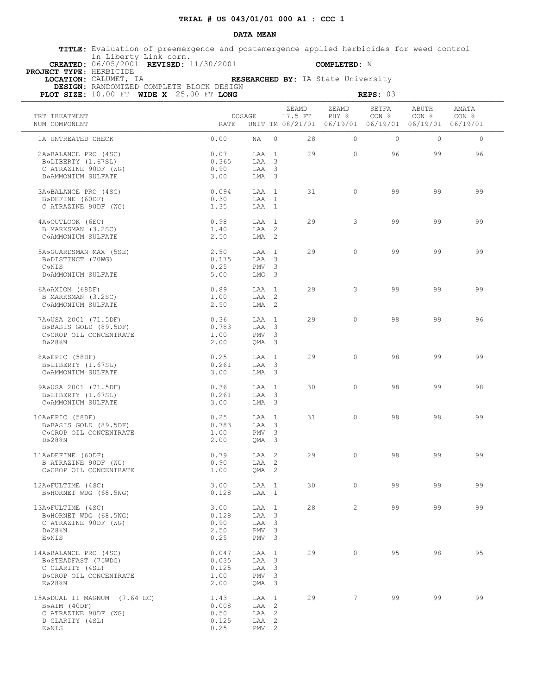**TITLE:** Evaluation of preemergence and postemergence applied herbicides for weed control in Liberty Link corn.  **CREATED:** 06/05/2001 **REVISED:** 11/30/2001 **COMPLETED:** N

 **PROJECT TYPE:** HERBICIDE

| LOCATION: CALUMET, IA                    |  |  | RESEARCHED BY: IA State University |
|------------------------------------------|--|--|------------------------------------|
| DRAIGH. DANDOMIRED COMPLETE DIOCH DECICN |  |  |                                    |

| PLOT SIZE: 10.00 FT WIDE X 25.00 FT LONG                                                                  |                                         |                                                                 |          |                  |                                                                        | REPS: 03                  |                      |         |  |
|-----------------------------------------------------------------------------------------------------------|-----------------------------------------|-----------------------------------------------------------------|----------|------------------|------------------------------------------------------------------------|---------------------------|----------------------|---------|--|
| TRT TREATMENT<br>NUM COMPONENT                                                                            | RATE                                    | DOSAGE                                                          |          | ZEAMD<br>17.5 FT | ZEAMD<br>PHY %<br>UNIT TM 08/21/01 06/19/01 06/19/01 06/19/01 06/19/01 | SETFA<br>CON <sub>8</sub> | ABUTH<br>CON % CON % | AMATA   |  |
| 1A UNTREATED CHECK                                                                                        | 0.00                                    | NA                                                              | $\Omega$ | 28               | $\Omega$                                                               | $\circ$                   | $\Omega$             | $\circ$ |  |
| 2A»BALANCE PRO (4SC)<br>B»LIBERTY (1.67SL)<br>C ATRAZINE 90DF (WG)<br>D»AMMONIUM SULFATE                  | 0.07<br>0.365<br>0.90<br>3.00           | LAA 1<br>LAA 3<br>LAA 3<br>LMA 3                                |          | 29               | $\bigcirc$                                                             | 96                        | 99                   | 96      |  |
| 3A»BALANCE PRO (4SC)<br>B»DEFINE (60DF)<br>C ATRAZINE 90DF (WG)                                           | 0.094<br>0.30<br>1.35                   | $T.A.A$ 1<br>LAA 1<br>LAA 1                                     |          | 31               | $\Omega$                                                               | 99                        | 99                   | 99      |  |
| 4A»OUTLOOK (6EC)<br>B MARKSMAN (3.2SC)<br>C»AMMONIUM SULFATE                                              | 0.98<br>1.40<br>2.50                    | LAA 1<br>LAA 2<br>LMA <sub>2</sub>                              |          | 29               | $\mathbf{3}$                                                           | 99                        | 99                   | 99      |  |
| 5A»GUARDSMAN MAX (5SE)<br>B»DISTINCT (70WG)<br>C»NIS<br>D»AMMONIUM SULFATE                                | 2.50<br>0.175<br>0.25<br>5.00           | LAA 1<br>LAA 3<br>PMV <sub>3</sub><br>LMG 3                     |          | 29               | $\Omega$                                                               | 99                        | 99                   | 99      |  |
| 6A»AXIOM (68DF)<br>B MARKSMAN (3.2SC)<br>C»AMMONIUM SULFATE                                               | 0.89<br>1.00<br>2.50                    | LAA 1<br>LAA 2<br>LMA 2                                         |          | 29               | 3                                                                      | 99                        | 99                   | 99      |  |
| 7A»USA 2001 (71.5DF)<br>B»BASIS GOLD (89.5DF)<br>C»CROP OIL CONCENTRATE<br>$D*28$ <sup>8</sup> N          | 0.36<br>0.783<br>1.00<br>2.00           | LAA 1<br>LAA 3<br>PMV <sub>3</sub><br>QMA 3                     |          | 29               | $\bigcirc$                                                             | 98                        | 99                   | 96      |  |
| 8A»EPIC (58DF)<br>B»LIBERTY (1.67SL)<br>C»AMMONIUM SULFATE                                                | 0.25<br>0.261<br>3.00                   | LAA 1<br>LAA 3<br>LMA 3                                         |          | 29               | $\Omega$                                                               | 98                        | 99                   | 99      |  |
| 9A»USA 2001 (71.5DF)<br>B»LIBERTY (1.67SL)<br>C»AMMONIUM SULFATE                                          | 0.36<br>0.261<br>3.00                   | LAA 1<br>LAA 3<br>LMA 3                                         |          | 30               | $\Omega$                                                               | 98                        | 99                   | 98      |  |
| 10A»EPIC (58DF)<br>B»BASIS GOLD (89.5DF)<br>C»CROP OIL CONCENTRATE<br>$D \gg 28$ %N                       | 0.25<br>0.783<br>1.00<br>2.00           | LAA 1<br>LAA 3<br>PMV <sub>3</sub><br>QMA 3                     |          | 31               | $\circ$                                                                | 98                        | 98                   | 99      |  |
| 11A»DEFINE (60DF)<br>B ATRAZINE 90DF (WG)<br>C»CROP OIL CONCENTRATE                                       | 0.79<br>0.90<br>1.00                    | LAA 2<br>LAA 2<br>OMA <sub>2</sub>                              |          | 29               | $\circ$                                                                | 98                        | 99                   | 99      |  |
| 12A»FULTIME (4SC)<br>B»HORNET WDG (68.5WG)                                                                | 3.00<br>0.128                           | LAA 1<br>LAA 1                                                  |          |                  | 30 0                                                                   | 99                        | 99                   | 99      |  |
| 13A»FULTIME (4SC)<br>B»HORNET WDG (68.5WG)<br>C ATRAZINE 90DF (WG)<br>$D \gg 28$ %N<br>E»NIS              | 3.00<br>0.128<br>0.90<br>2.50<br>0.25   | LAA 1<br>LAA 3<br>LAA 3<br>PMV <sub>3</sub><br>PMV <sub>3</sub> |          | 28               | $2^{\circ}$                                                            | 99                        | 99                   | 99      |  |
| 14A»BALANCE PRO (4SC)<br>B»STEADFAST (75WDG)<br>C CLARITY (4SL)<br>D»CROP OIL CONCENTRATE<br>$E\gg 28$ %N | 0.047<br>0.035<br>0.125<br>1.00<br>2.00 | LAA 1<br>LAA 3<br>LAA 3<br>PMV <sub>3</sub><br>QMA 3            |          | 29               | $\circ$                                                                | 95                        | 98                   | 95      |  |
| 15A»DUAL II MAGNUM (7.64 EC)<br>B»AIM (40DF)<br>C ATRAZINE 90DF (WG)<br>D CLARITY (4SL)<br>E»NIS          | 1.43<br>0.008<br>0.50<br>0.125<br>0.25  | LAA 1<br>LAA 2<br>LAA 2<br>LAA 2<br>PMV <sub>2</sub>            |          |                  | 29                                                                     | 99<br>$7\overline{ }$     | 99                   | 99      |  |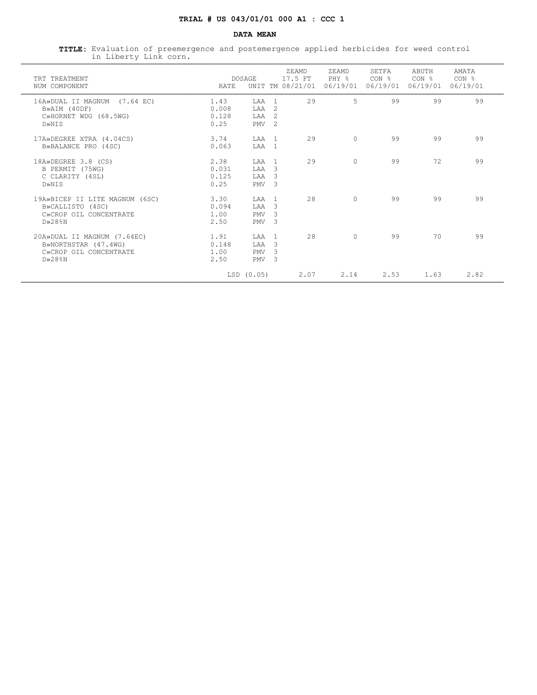**TITLE:** Evaluation of preemergence and postemergence applied herbicides for weed control in Liberty Link corn. ¶¶¶¶¶¶¶¶¶¶¶¶¶¶¶¶¶¶¶¶¶¶¶¶¶¶¶¶¶¶¶¶¶¶¶¶¶¶¶¶¶¶¶¶¶¶¶¶¶¶¶¶¶¶¶¶¶¶¶¶¶¶¶¶¶¶¶¶¶¶¶¶¶¶¶¶¶¶¶¶¶¶¶¶¶¶¶¶¶¶¶¶¶¶¶¶¶¶¶¶¶¶¶¶¶¶¶¶¶¶¶¶¶¶¶

| TRT TREATMENT<br>NUM COMPONENT                                                                     | RATE                           | <b>DOSAGE</b>                            |                                                                     | ZEAMD.<br>17.5 FT<br>UNIT TM 08/21/01 | ZEAMD<br>PHY %<br>06/19/01 | SETFA<br>$CON$ $\frac{6}{5}$<br>06/19/01 | ABUTH<br>CON %<br>06/19/01 | AMATA<br>CON <sub>8</sub><br>06/19/01 |
|----------------------------------------------------------------------------------------------------|--------------------------------|------------------------------------------|---------------------------------------------------------------------|---------------------------------------|----------------------------|------------------------------------------|----------------------------|---------------------------------------|
| 16A»DUAL II MAGNUM (7.64 EC)<br>B»AIM (40DF)<br>C»HORNET WDG (68.5WG)<br>D»NTS                     | 1.43<br>0.008<br>0.128<br>0.25 | <b>T.AA</b><br>LAA<br>LAA<br>PMV         | $\overline{1}$<br>$\mathfrak{D}$<br>$\mathcal{L}$<br>$\mathfrak{D}$ | 29                                    | 5                          | 99                                       | 99                         | 99                                    |
| 17A»DEGREE XTRA (4.04CS)<br>B»BALANCE PRO (4SC)                                                    | 3.74<br>0.063                  | T.AA<br>LAA                              | $\overline{1}$<br>$\overline{1}$                                    | 29                                    | $\cap$                     | 99                                       | 99                         | 99                                    |
| 18A»DEGREE 3.8 (CS)<br>B PERMIT (75WG)<br>C CLARITY (4SL)<br>D»NIS                                 | 2.38<br>0.031<br>0.125<br>0.25 | T.AA<br>LAA<br><b>T.AA</b><br><b>PMV</b> | $\overline{1}$<br>3<br>3<br>$\mathcal{R}$                           | 2.9                                   | $\bigcap$                  | 99                                       | 72                         | 99                                    |
| 19A»BICEP II LITE MAGNUM (6SC)<br>B»CALLISTO (4SC)<br>C»CROP OIL CONCENTRATE<br>$D\gg 28$ %N       | 3.30<br>0.094<br>1.00<br>2.50  | LAA<br>LAA<br><b>PMV</b><br>PMV          | $\overline{1}$<br>3<br>3<br>3                                       | 2.8                                   | $\Omega$                   | 99                                       | 99                         | 99                                    |
| 20A»DUAL II MAGNUM (7.64EC)<br>B»NORTHSTAR (47.4WG)<br>C»CROP OIL CONCENTRATE<br>$D \times 28$ $N$ | 1.91<br>0.148<br>1.00<br>2.50  | LAA<br><b>T.AA</b><br><b>PMV</b><br>PMV  | $\overline{1}$<br>3<br>$\mathcal{L}$<br>3                           | 2.8                                   | $\cap$                     | 99                                       | 70                         | 99                                    |
|                                                                                                    |                                | LSD (0.05)                               |                                                                     | 2.07                                  | 2.14                       | 2.53                                     | 1.63                       | 2.82                                  |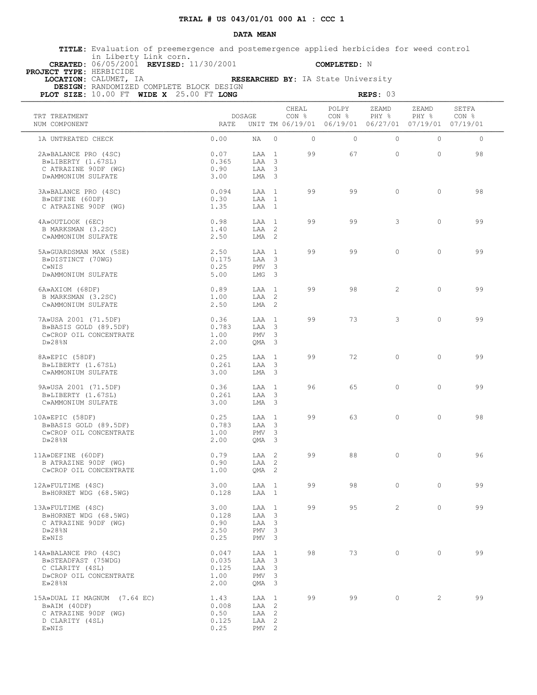**TITLE:** Evaluation of preemergence and postemergence applied herbicides for weed control in Liberty Link corn.  **CREATED:** 06/05/2001 **REVISED:** 11/30/2001 **COMPLETED:** N

 **PROJECT TYPE:** HERBICIDE

 **LOCATION:** CALUMET, IA **RESEARCHED BY:** IA State University

| PLOT SIZE: 10.00 FT WIDE X 25.00 FT LONG                                                                  |                                         |                                                                 |          |                |                | REPS: 03                                                               |                                           |                |  |
|-----------------------------------------------------------------------------------------------------------|-----------------------------------------|-----------------------------------------------------------------|----------|----------------|----------------|------------------------------------------------------------------------|-------------------------------------------|----------------|--|
| TRT TREATMENT<br>NUM COMPONENT                                                                            | RATE                                    | DOSAGE                                                          |          | CHEAL<br>CON % | POLPY<br>CON % | ZEAMD<br>PHY %<br>UNIT TM 06/19/01 06/19/01 06/27/01 07/19/01 07/19/01 | ZEAMD<br>PHY % CON %                      | SETFA          |  |
| 1A UNTREATED CHECK                                                                                        | 0.00                                    | NA                                                              | $\Omega$ | $\Omega$       | $\Omega$       | $\circ$                                                                | $\Omega$                                  | $\circ$        |  |
| 2A»BALANCE PRO (4SC)<br>B»LIBERTY (1.67SL)<br>C ATRAZINE 90DF (WG)<br>D»AMMONIUM SULFATE                  | 0.07<br>0.365<br>0.90<br>3.00           | LAA 1<br>LAA 3<br>LAA 3<br>LMA 3                                |          | 99             | 67             | $\circ$                                                                | $\Omega$                                  | 98             |  |
| 3A»BALANCE PRO (4SC)<br>B»DEFINE (60DF)<br>C ATRAZINE 90DF (WG)                                           | 0.094<br>0.30<br>1.35                   | $T.A.A$ 1<br>LAA 1<br>LAA 1                                     |          | 99             | 99             | $\circ$                                                                | $\circ$                                   | 98             |  |
| 4A»OUTLOOK (6EC)<br>B MARKSMAN (3.2SC)<br>C»AMMONIUM SULFATE                                              | 0.98<br>1.40<br>2.50                    | LAA 1<br>LAA 2<br>LMA <sub>2</sub>                              |          | 99             | 99             | 3                                                                      | $\Omega$                                  | 99             |  |
| 5A»GUARDSMAN MAX (5SE)<br>B»DISTINCT (70WG)<br>C»NIS<br>D»AMMONIUM SULFATE                                | 2.50<br>0.175<br>0.25<br>5.00           | LAA 1<br>LAA 3<br>PMV <sub>3</sub><br>LMG 3                     |          | 99             | 99             | $\Omega$                                                               | $\Omega$                                  | 99             |  |
| 6A»AXIOM (68DF)<br>B MARKSMAN (3.2SC)<br>C»AMMONIUM SULFATE                                               | 0.89<br>1.00<br>2.50                    | LAA 1<br>LAA 2<br>LMA 2                                         |          | 99             | 98             | $\overline{2}$                                                         | $\circ$                                   | 99             |  |
| 7A»USA 2001 (71.5DF)<br>B»BASIS GOLD (89.5DF)<br>C»CROP OIL CONCENTRATE<br>$D \gg 28$ %N                  | 0.36<br>0.783<br>1.00<br>2.00           | $T.AA$ 1<br>LAA 3<br>PMV <sub>3</sub><br>QMA 3                  |          | 99             | 73             | $\mathbf{3}$                                                           | $\Omega$                                  | 99             |  |
| 8A»EPIC (58DF)<br>B»LIBERTY (1.67SL)<br>C»AMMONIUM SULFATE                                                | 0.25<br>0.261<br>3.00                   | LAA 1<br>LAA 3<br>LMA 3                                         |          | 99             | 72             | $\Omega$                                                               | $\Omega$                                  | 99             |  |
| 9A»USA 2001 (71.5DF)<br>B»LIBERTY (1.67SL)<br>C»AMMONIUM SULFATE                                          | 0.36<br>0.261<br>3.00                   | LAA 1<br>LAA 3<br>LMA 3                                         |          | 96             | 65             | $\circ$                                                                | $\Omega$                                  | 99             |  |
| 10A»EPIC (58DF)<br>B»BASIS GOLD (89.5DF)<br>C»CROP OIL CONCENTRATE<br>$D \gg 28$ %N                       | 0.25<br>0.783<br>1.00<br>2.00           | LAA 1<br>LAA 3<br>PMV <sub>3</sub><br>QMA 3                     |          | 99             | 63             | $\circ$                                                                | $\Omega$                                  | 98             |  |
| 11A»DEFINE (60DF)<br>B ATRAZINE 90DF (WG)<br>C»CROP OIL CONCENTRATE                                       | 0.79<br>0.90<br>1.00                    | LAA 2<br>LAA 2<br>OMA <sub>2</sub>                              |          | 99             | 88             | $\circ$                                                                | $\circ$                                   | 96             |  |
| 12A»FULTIME (4SC)<br>B»HORNET WDG (68.5WG)                                                                | 3.00<br>0.128                           | LAA 1                                                           |          | LAA 1          | 99             |                                                                        | $\overline{0}$                            | $\Omega$<br>99 |  |
| 13A»FULTIME (4SC)<br>B»HORNET WDG (68.5WG)<br>C ATRAZINE 90DF (WG)<br>$D \gg 28$ %N<br>E»NIS              | 3.00<br>0.128<br>0.90<br>2.50<br>0.25   | LAA 1<br>LAA 3<br>LAA 3<br>PMV <sub>3</sub><br>PMV <sub>3</sub> |          | 99             | 95             |                                                                        | $2 \left( \frac{1}{2} \right)$<br>$\circ$ | 99             |  |
| 14A»BALANCE PRO (4SC)<br>B»STEADFAST (75WDG)<br>C CLARITY (4SL)<br>D»CROP OIL CONCENTRATE<br>$E\gg 28$ %N | 0.047<br>0.035<br>0.125<br>1.00<br>2.00 | LAA 1<br>LAA 3<br>LAA 3<br>PMV <sub>3</sub><br>QMA 3            |          | 98             | 73             | $\overline{0}$                                                         | $\circ$                                   | 99             |  |
| 15A»DUAL II MAGNUM (7.64 EC)<br>B»AIM (40DF)<br>C ATRAZINE 90DF (WG)<br>D CLARITY (4SL)<br>E»NIS          | 1.43<br>0.008<br>0.50<br>0.125<br>0.25  | LAA 1<br>LAA 2<br>LAA 2<br>LAA 2<br>PMV <sub>2</sub>            |          | 99             | 99             | $\overline{0}$                                                         | $\overline{2}$                            | 99             |  |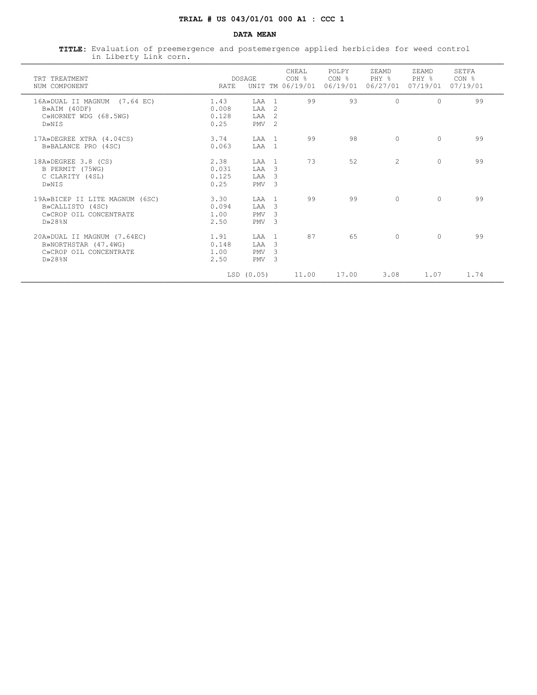**TITLE:** Evaluation of preemergence and postemergence applied herbicides for weed control in Liberty Link corn. ¶¶¶¶¶¶¶¶¶¶¶¶¶¶¶¶¶¶¶¶¶¶¶¶¶¶¶¶¶¶¶¶¶¶¶¶¶¶¶¶¶¶¶¶¶¶¶¶¶¶¶¶¶¶¶¶¶¶¶¶¶¶¶¶¶¶¶¶¶¶¶¶¶¶¶¶¶¶¶¶¶¶¶¶¶¶¶¶¶¶¶¶¶¶¶¶¶¶¶¶¶¶¶¶¶¶¶¶¶¶¶¶¶¶¶

| TRT TREATMENT<br>NUM COMPONENT                                                                     | RATE                           | <b>DOSAGE</b>                           |                                                                     | CHEAL<br>CON <sub>8</sub><br>UNIT TM 06/19/01 | POLPY<br>CON %<br>06/19/01 | ZEAMD<br>PHY %<br>06/27/01 | ZEAMD<br>PHY %<br>07/19/01 | <b>SETFA</b><br>CON <sub>8</sub><br>07/19/01 |
|----------------------------------------------------------------------------------------------------|--------------------------------|-----------------------------------------|---------------------------------------------------------------------|-----------------------------------------------|----------------------------|----------------------------|----------------------------|----------------------------------------------|
| 16A»DUAL II MAGNUM (7.64 EC)<br>B»AIM (40DF)<br>C»HORNET WDG (68.5WG)<br>D»NTS                     | 1.43<br>0.008<br>0.128<br>0.25 | LAA<br>LAA<br>LAA<br>PMV                | $\overline{1}$<br>$\mathfrak{D}$<br>$\mathcal{L}$<br>$\mathfrak{D}$ | 99                                            | 93                         | $\cap$                     | $\Omega$                   | 99                                           |
| 17A»DEGREE XTRA (4.04CS)<br>B»BALANCE PRO (4SC)                                                    | 3.74<br>0.063                  | T.AA<br>LAA                             | $\overline{1}$<br>$\overline{1}$                                    | 99                                            | 98                         | $\Omega$                   | $\Omega$                   | 99                                           |
| 18A»DEGREE 3.8 (CS)<br>B PERMIT (75WG)<br>C CLARITY (4SL)<br>D»NIS                                 | 2.38<br>0.031<br>0.125<br>0.25 | T.AA<br>LAA<br>T.AA<br>PMV              | $\overline{1}$<br>3<br>3<br>3                                       | 73                                            | 52                         | $\overline{c}$             | $\Omega$                   | 99                                           |
| 19A»BICEP II LITE MAGNUM (6SC)<br>B»CALLISTO (4SC)<br>C»CROP OIL CONCENTRATE<br>$D\gg 28$ %N       | 3.30<br>0.094<br>1.00<br>2.50  | LAA<br>LAA<br><b>PMV</b><br>PMV         | $\overline{1}$<br>3<br>3<br>3                                       | 99                                            | 99                         | $\Omega$                   | $\Omega$                   | 99                                           |
| 20A»DUAL II MAGNUM (7.64EC)<br>B»NORTHSTAR (47.4WG)<br>C»CROP OIL CONCENTRATE<br>$D \times 28$ $N$ | 1.91<br>0.148<br>1.00<br>2.50  | LAA<br><b>T.AA</b><br><b>PMV</b><br>PMV | $\overline{1}$<br>3<br>$\mathcal{L}$<br>3                           | 87                                            | 65                         | $\Omega$                   | $\Omega$                   | 99                                           |
|                                                                                                    |                                | LSD (0.05)                              |                                                                     | 11.00                                         | 17.00                      | 3.08                       | 1.07                       | 1.74                                         |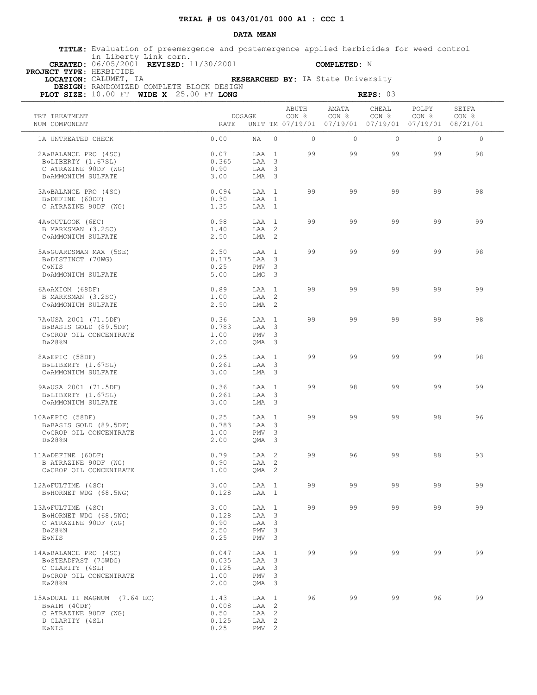**TITLE:** Evaluation of preemergence and postemergence applied herbicides for weed control in Liberty Link corn.  **CREATED:** 06/05/2001 **REVISED:** 11/30/2001 **COMPLETED:** N

 **PROJECT TYPE:** HERBICIDE

 **LOCATION:** CALUMET, IA **RESEARCHED BY:** IA State University

| PLOT SIZE: 10.00 FT WIDE X 25.00 FT LONG                                                                  |                                                       |                                                                       |                |                                                                        | REPS: 03                  |                           |                |
|-----------------------------------------------------------------------------------------------------------|-------------------------------------------------------|-----------------------------------------------------------------------|----------------|------------------------------------------------------------------------|---------------------------|---------------------------|----------------|
| TRT TREATMENT<br>NUM COMPONENT                                                                            | DOSAGE<br>RATE                                        |                                                                       | ABUTH<br>CON % | AMATA<br>CON %<br>UNIT TM 07/19/01 07/19/01 07/19/01 07/19/01 08/21/01 | CHEAL<br>CON <sub>8</sub> | POLPY<br>CON <sub>8</sub> | SETFA<br>CON % |
| 1A UNTREATED CHECK                                                                                        | 0.00                                                  | NA<br>$\Omega$                                                        | $\Omega$       | $\Omega$                                                               | $\Omega$                  | $\Omega$                  | $\circ$        |
| 2A»BALANCE PRO (4SC)<br>B»LIBERTY (1.67SL)<br>C ATRAZINE 90DF (WG)<br>D»AMMONIUM SULFATE                  | 0.07<br>0.365<br>0.90<br>3.00                         | LAA 1<br>LAA 3<br>LAA 3<br>LMA 3                                      | 99             | 99                                                                     | 99                        | 99                        | 98             |
| 3A»BALANCE PRO (4SC)<br>B»DEFINE (60DF)<br>C ATRAZINE 90DF (WG)                                           | 0.094<br>0.30<br>1.35                                 | LAA 1<br>LAA 1<br>LAA 1                                               | 99             | 99                                                                     | 99                        | 99                        | 98             |
| 4A»OUTLOOK (6EC)<br>B MARKSMAN (3.2SC)<br>C»AMMONIUM SULFATE                                              | 0.98<br>1.40<br>2.50                                  | LAA 1<br>LAA 2<br>LMA <sub>2</sub>                                    | 99             | 99                                                                     | 99                        | 99                        | 99             |
| 5A»GUARDSMAN MAX (5SE)<br>B»DISTINCT (70WG)<br>C»NIS<br>D»AMMONIUM SULFATE                                | 2.50<br>0.175<br>0.25<br>5.00                         | LAA 1<br>LAA 3<br>PMV <sub>3</sub><br>$LMG$ 3                         | 99             | 99                                                                     | 99                        | 99                        | 98             |
| 6A»AXIOM (68DF)<br>B MARKSMAN (3.2SC)<br>C»AMMONIUM SULFATE                                               | 0.89<br>1.00<br>2.50                                  | $T.A.A$ 1<br>LAA 2<br>LMA <sub>2</sub>                                | 99             | 99                                                                     | 99                        | 99                        | 99             |
| 7A»USA 2001 (71.5DF)<br>B»BASIS GOLD (89.5DF)<br>C»CROP OIL CONCENTRATE<br>$D \gg 28$ %N                  | 0.36<br>0.783<br>1.00<br>2.00                         | LAA 1<br>LAA 3<br>PMV <sub>3</sub><br>QMA 3                           | 99             | 99                                                                     | 99                        | 99                        | 98             |
| 8A»EPIC (58DF)<br>B»LIBERTY (1.67SL)<br>C»AMMONIUM SULFATE                                                | 0.25<br>0.261<br>3.00                                 | LAA 1<br>LAA 3<br>$LMA$ 3                                             | 99             | 99                                                                     | 99                        | 99                        | 98             |
| 9A»USA 2001 (71.5DF)<br>B»LIBERTY (1.67SL)<br>C»AMMONIUM SULFATE                                          | 0.36<br>0.261<br>3.00                                 | LAA 1<br>LAA 3<br>$LMA$ 3                                             | 99             | 98                                                                     | 99                        | 99                        | 99             |
| 10A»EPIC (58DF)<br>B»BASIS GOLD (89.5DF)<br>C»CROP OIL CONCENTRATE<br>$D \gg 28$ %N                       | 0.25<br>0.783<br>1.00<br>2.00                         | LAA 1<br>LAA 3<br>PMV<br>$\overline{\mathbf{3}}$<br>QMA 3             | 99             | 99                                                                     | 99                        | 98                        | 96             |
| 11A»DEFINE (60DF)<br>B ATRAZINE 90DF (WG)<br>C»CROP OIL CONCENTRATE                                       | 0.79<br>0.90<br>1.00                                  | LAA 2<br>LAA 2<br>$QMA$ 2                                             | 99             | 96                                                                     | 99                        | 88                        | 93             |
| 12A»FULTIME (4SC)<br>B»HORNET WDG (68.5WG)                                                                | 3.00<br>0.128                                         | LAA 1<br>LAA 1                                                        | 99             | 99                                                                     | 99                        | 99                        | 99             |
| 13A»FULTIME (4SC)<br>B»HORNET WDG (68.5WG)<br>C ATRAZINE 90DF (WG)<br>$D \gg 28$ %N<br>E»NIS              | 3.00<br>LAA<br>0.128<br>0.90<br>2.50<br>0.25<br>PMV   | $\overline{1}$<br>LAA 3<br>LAA<br>3<br>3<br>PMV<br>3                  | 99             | 99                                                                     | 99                        | 99                        | 99             |
| 14A»BALANCE PRO (4SC)<br>B»STEADFAST (75WDG)<br>C CLARITY (4SL)<br>D»CROP OIL CONCENTRATE<br>$E\gg 28$ %N | 0.047<br>LAA<br>0.035<br>LAA<br>0.125<br>1.00<br>2.00 | $\mathbf{1}$<br>$\overline{\mathbf{3}}$<br>LAA 3<br>PMV<br>3<br>QMA 3 | 99             | 99                                                                     | 99                        | 99                        | 99             |
| 15A»DUAL II MAGNUM (7.64 EC)<br>B»AIM (40DF)<br>C ATRAZINE 90DF (WG)<br>D CLARITY (4SL)<br>E»NIS          | 1.43<br>0.008<br>LAA<br>0.50<br>0.125<br>0.25         | LAA 1<br>$\overline{2}$<br>2<br>LAA<br>LAA 2<br>$PMV$ 2               | 96             | 99                                                                     | 99                        | 96                        | 99             |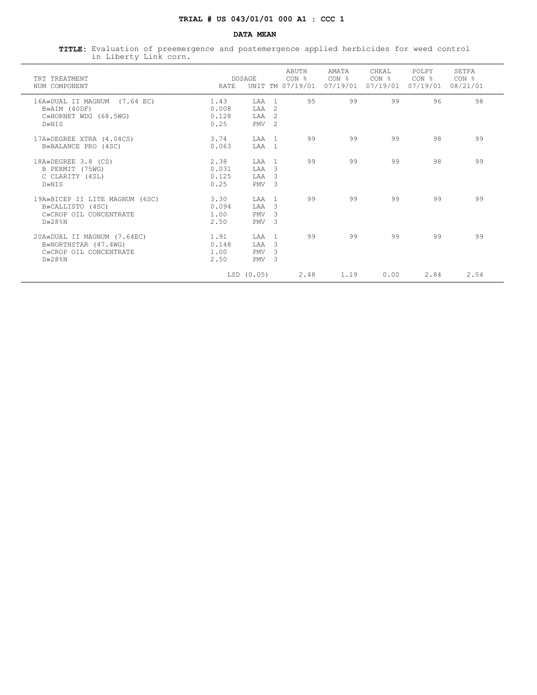**TITLE:** Evaluation of preemergence and postemergence applied herbicides for weed control in Liberty Link corn. ¶¶¶¶¶¶¶¶¶¶¶¶¶¶¶¶¶¶¶¶¶¶¶¶¶¶¶¶¶¶¶¶¶¶¶¶¶¶¶¶¶¶¶¶¶¶¶¶¶¶¶¶¶¶¶¶¶¶¶¶¶¶¶¶¶¶¶¶¶¶¶¶¶¶¶¶¶¶¶¶¶¶¶¶¶¶¶¶¶¶¶¶¶¶¶¶¶¶¶¶¶¶¶¶¶¶¶¶¶¶¶¶¶¶¶

| TRT TREATMENT<br>NUM COMPONENT                                                                     | RATE                           | <b>DOSAGE</b>                            |                                                                   | ABUTH<br>CON <sub>8</sub><br>UNIT TM 07/19/01 | AMATA<br>CON <sub>8</sub><br>07/19/01 | CHEAL<br>CON %<br>07/19/01 | POLPY<br>CON %<br>07/19/01 | SETFA<br>CON <sub>8</sub><br>08/21/01 |
|----------------------------------------------------------------------------------------------------|--------------------------------|------------------------------------------|-------------------------------------------------------------------|-----------------------------------------------|---------------------------------------|----------------------------|----------------------------|---------------------------------------|
| 16A»DUAL II MAGNUM (7.64 EC)<br>B»AIM (40DF)<br>C»HORNET WDG (68.5WG)<br>D»NTS                     | 1.43<br>0.008<br>0.128<br>0.25 | T.AA<br>LAA<br><b>T.AA</b><br>PMV        | $\overline{1}$<br>$\mathcal{L}$<br>$\mathcal{L}$<br>$\mathcal{L}$ | 95                                            | 99                                    | 99                         | 96                         | 98                                    |
| 17A»DEGREE XTRA (4.04CS)<br>B»BALANCE PRO (4SC)                                                    | 3.74<br>0.063                  | T.AA<br>LAA                              | $\overline{1}$<br>$\overline{1}$                                  | 99                                            | 99                                    | 99                         | 98                         | 99                                    |
| 18A»DEGREE 3.8 (CS)<br>B PERMIT (75WG)<br>C CLARITY (4SL)<br>D»NIS                                 | 2.38<br>0.031<br>0.125<br>0.25 | T.AA<br>LAA<br><b>T.AA</b><br><b>PMV</b> | $\overline{1}$<br>3<br>3<br>3                                     | 99                                            | 99                                    | 99                         | 98                         | 99                                    |
| 19A»BICEP II LITE MAGNUM (6SC)<br>B»CALLISTO (4SC)<br>C»CROP OIL CONCENTRATE<br>$D\gg 28$ %N       | 3.30<br>0.094<br>1.00<br>2.50  | LAA<br>LAA<br><b>PMV</b><br>PMV          | $\overline{1}$<br>3<br>3<br>3                                     | 99                                            | 99                                    | 99                         | 99                         | 99                                    |
| 20A»DUAL II MAGNUM (7.64EC)<br>B»NORTHSTAR (47.4WG)<br>C»CROP OIL CONCENTRATE<br>$D \times 28$ $N$ | 1.91<br>0.148<br>1.00<br>2.50  | LAA<br><b>TAA</b><br><b>PMV</b><br>PMV   | $\overline{1}$<br>3<br>3<br>3                                     | 99                                            | 99                                    | 99                         | 99                         | 99                                    |
|                                                                                                    |                                | LSD(0.05)                                |                                                                   | 2.48                                          | 1.19                                  | 0.00                       | 2.84                       | 2.54                                  |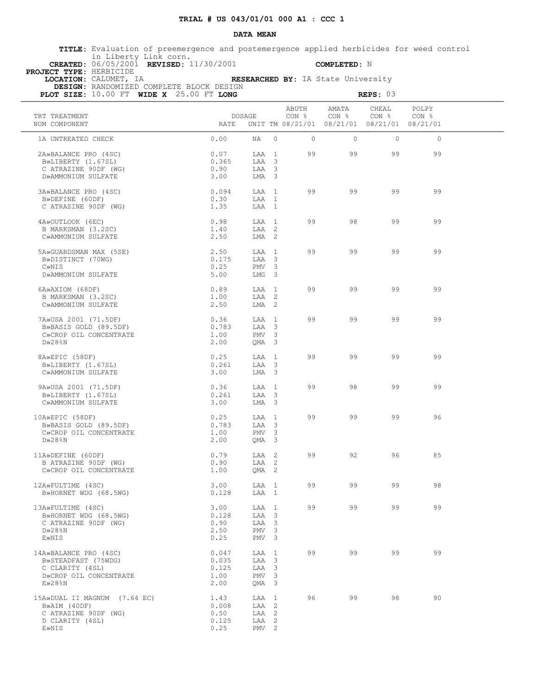**TITLE:** Evaluation of preemergence and postemergence applied herbicides for weed control in Liberty Link corn.  **CREATED:** 06/05/2001 **REVISED:** 11/30/2001 **COMPLETED:** N

 **PROJECT TYPE:** HERBICIDE

 **LOCATION:** CALUMET, IA **RESEARCHED BY:** IA State University

| PLOT SIZE: 10.00 FT WIDE X 25.00 FT LONG                                                                  |                                                                                                          |         |         |                                                                                 | REPS: 03 |         |  |
|-----------------------------------------------------------------------------------------------------------|----------------------------------------------------------------------------------------------------------|---------|---------|---------------------------------------------------------------------------------|----------|---------|--|
| TRT TREATMENT<br>NUM COMPONENT                                                                            | DOSAGE<br>RATE                                                                                           |         | ABUTH   | AMATA<br>CON % CON % CON % CON %<br>UNIT TM 08/21/01 08/21/01 08/21/01 08/21/01 | CHEAL    | POLPY   |  |
| 1A UNTREATED CHECK                                                                                        | 0.00<br>NA                                                                                               | $\circ$ | $\circ$ | $\circ$                                                                         | $\circ$  | $\circ$ |  |
| 2A»BALANCE PRO (4SC)<br>B»LIBERTY (1.67SL)<br>C ATRAZINE 90DF (WG)<br>D»AMMONIUM SULFATE                  | 0.07<br>LAA 1<br>0.365<br>LAA 3<br>0.90<br>LAA 3<br>3.00<br>LMA 3                                        |         | 99      | 99                                                                              | 99       | 99      |  |
| 3A»BALANCE PRO (4SC)<br>B»DEFINE (60DF)<br>C ATRAZINE 90DF (WG)                                           | 0.094<br>LAA 1<br>0.30<br>LAA 1<br>1.35<br>LAA 1                                                         |         | 99      | 99                                                                              | 99       | 99      |  |
| 4A»OUTLOOK (6EC)<br>B MARKSMAN (3.2SC)<br>C»AMMONIUM SULFATE                                              | 0.98<br>LAA 1<br>1.40<br>LAA 2<br>2.50<br>LMA 2                                                          |         | 99      | 98                                                                              | 99       | 99      |  |
| 5A»GUARDSMAN MAX (5SE)<br>B»DISTINCT (70WG)<br>C»NIS<br>D»AMMONIUM SULFATE                                | 2.50<br>LAA 1<br>0.175<br>LAA 3<br>0.25<br>PMV <sub>3</sub><br>5.00<br>LMG 3                             |         | 99      | 99                                                                              | 99       | 99      |  |
| 6A»AXIOM (68DF)<br>B MARKSMAN (3.2SC)<br>C»AMMONIUM SULFATE                                               | 0.89<br>LAA 1<br>1.00<br>LAA 2<br>2.50<br>$LMA$ 2                                                        |         | 99      | 99                                                                              | 99       | 99      |  |
| $7A \rightarrow 2001$ $(71.5DF)$<br>B»BASIS GOLD (89.5DF)<br>C»CROP OIL CONCENTRATE<br>$D \gg 28$ %N      | 0.36<br>LAA 1<br>0.783<br>LAA 3<br>1.00<br>PMV <sub>3</sub><br>2.00<br>QMA 3                             |         | 99      | 99                                                                              | 99       | 99      |  |
| 8A»EPIC (58DF)<br>B»LIBERTY (1.67SL)<br>C»AMMONIUM SULFATE                                                | 0.25<br>LAA 1<br>0.261<br>LAA 3<br>3.00<br>LMA 3                                                         |         | 99      | 99                                                                              | 99       | 99      |  |
| 9A»USA 2001 (71.5DF)<br>B»LIBERTY (1.67SL)<br>C»AMMONIUM SULFATE                                          | 0.36<br>LAA 1<br>0.261<br>LAA 3<br>3.00<br>LMA 3                                                         |         | 99      | 98                                                                              | 99       | 99      |  |
| 10A»EPIC (58DF)<br>)A»EPIC (58DF)<br>B»BASIS GOLD (89.5DF)<br>C»CROP OIL CONCENTRATE<br>$D \gg 28$ %N     | 0.25<br>LAA 1<br>0.783<br>LAA 3<br>1.00<br>PMV <sub>3</sub><br>2.00<br>QMA 3                             |         | 99      | 99                                                                              | 99       | 96      |  |
| 11A»DEFINE (60DF)<br>B ATRAZINE 90DF (WG)<br>C»CROP OIL CONCENTRATE                                       | 0.79<br>LAA 2<br>0.90<br>LAA 2<br>1.00<br>$QMA$ 2                                                        |         | 99      | 92                                                                              | 96       | 85      |  |
| 12A»FULTIME (4SC)<br>B»HORNET WDG (68.5WG)                                                                | 3.00<br>0.128<br>LAA 1                                                                                   |         |         | LAA 1 99 99 99                                                                  |          | 98      |  |
| 13A»FULTIME (4SC)<br>B»HORNET WDG (68.5WG)<br>C ATRAZINE 90DF (WG)<br>$D \gg 28$ %N<br>E»NIS              | 3.00<br>LAA 1<br>LAA 3<br>0.128<br>0.90<br>LAA 3<br>2.50<br>PMV <sub>3</sub><br>0.25<br>PMV <sub>3</sub> |         | 99      | 99                                                                              | 99       | 99      |  |
| 14A»BALANCE PRO (4SC)<br>B»STEADFAST (75WDG)<br>C CLARITY (4SL)<br>D»CROP OIL CONCENTRATE<br>$E\gg 28$ %N | 0.047<br>LAA 1<br>0.035<br>LAA 3<br>LAA 3<br>0.125<br>1.00<br>PMV <sub>3</sub><br>2.00<br>QMA 3          |         | 99      | 99                                                                              | 99       | 99      |  |
| 15A»DUAL II MAGNUM (7.64 EC)<br>B»AIM (40DF)<br>C ATRAZINE 90DF (WG)<br>D CLARITY (4SL)<br>E»NIS          | 1.43<br>LAA 1<br>0.008<br>LAA 2<br>0.50<br>LAA 2<br>0.125<br>LAA 2<br>0.25<br>PMV <sub>2</sub>           |         | 96      | 99                                                                              | 98       | 90      |  |